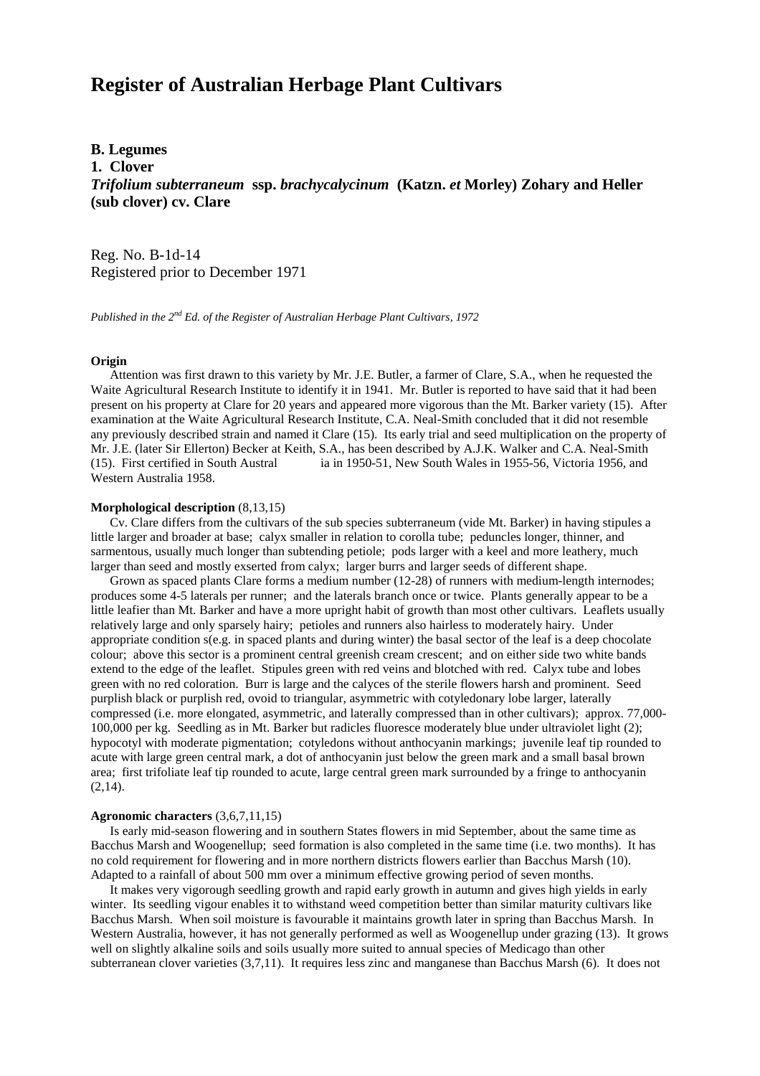# **Register of Australian Herbage Plant Cultivars**

# **B. Legumes**

**1. Clover**

*Trifolium subterraneum* **ssp.** *brachycalycinum* **(Katzn.** *et* **Morley) Zohary and Heller (sub clover) cv. Clare**

Reg. No. B-1d-14 Registered prior to December 1971

*Published in the 2nd Ed. of the Register of Australian Herbage Plant Cultivars, 1972*

# **Origin**

 Attention was first drawn to this variety by Mr. J.E. Butler, a farmer of Clare, S.A., when he requested the Waite Agricultural Research Institute to identify it in 1941. Mr. Butler is reported to have said that it had been present on his property at Clare for 20 years and appeared more vigorous than the Mt. Barker variety (15). After examination at the Waite Agricultural Research Institute, C.A. Neal-Smith concluded that it did not resemble any previously described strain and named it Clare (15). Its early trial and seed multiplication on the property of Mr. J.E. (later Sir Ellerton) Becker at Keith, S.A., has been described by A.J.K. Walker and C.A. Neal-Smith (15). First certified in South Austral ia in 1950-51, New South Wales in 1955-56, Victoria 1956, and Western Australia 1958.

#### **Morphological description** (8,13,15)

 Cv. Clare differs from the cultivars of the sub species subterraneum (vide Mt. Barker) in having stipules a little larger and broader at base; calyx smaller in relation to corolla tube; peduncles longer, thinner, and sarmentous, usually much longer than subtending petiole; pods larger with a keel and more leathery, much larger than seed and mostly exserted from calyx; larger burrs and larger seeds of different shape.

 Grown as spaced plants Clare forms a medium number (12-28) of runners with medium-length internodes; produces some 4-5 laterals per runner; and the laterals branch once or twice. Plants generally appear to be a little leafier than Mt. Barker and have a more upright habit of growth than most other cultivars. Leaflets usually relatively large and only sparsely hairy; petioles and runners also hairless to moderately hairy. Under appropriate condition s(e.g. in spaced plants and during winter) the basal sector of the leaf is a deep chocolate colour; above this sector is a prominent central greenish cream crescent; and on either side two white bands extend to the edge of the leaflet. Stipules green with red veins and blotched with red. Calyx tube and lobes green with no red coloration. Burr is large and the calyces of the sterile flowers harsh and prominent. Seed purplish black or purplish red, ovoid to triangular, asymmetric with cotyledonary lobe larger, laterally compressed (i.e. more elongated, asymmetric, and laterally compressed than in other cultivars); approx. 77,000- 100,000 per kg. Seedling as in Mt. Barker but radicles fluoresce moderately blue under ultraviolet light (2); hypocotyl with moderate pigmentation; cotyledons without anthocyanin markings; juvenile leaf tip rounded to acute with large green central mark, a dot of anthocyanin just below the green mark and a small basal brown area; first trifoliate leaf tip rounded to acute, large central green mark surrounded by a fringe to anthocyanin  $(2,14)$ .

# **Agronomic characters** (3,6,7,11,15)

 Is early mid-season flowering and in southern States flowers in mid September, about the same time as Bacchus Marsh and Woogenellup; seed formation is also completed in the same time (i.e. two months). It has no cold requirement for flowering and in more northern districts flowers earlier than Bacchus Marsh (10). Adapted to a rainfall of about 500 mm over a minimum effective growing period of seven months.

 It makes very vigorough seedling growth and rapid early growth in autumn and gives high yields in early winter. Its seedling vigour enables it to withstand weed competition better than similar maturity cultivars like Bacchus Marsh. When soil moisture is favourable it maintains growth later in spring than Bacchus Marsh. In Western Australia, however, it has not generally performed as well as Woogenellup under grazing (13). It grows well on slightly alkaline soils and soils usually more suited to annual species of Medicago than other subterranean clover varieties (3,7,11). It requires less zinc and manganese than Bacchus Marsh (6). It does not